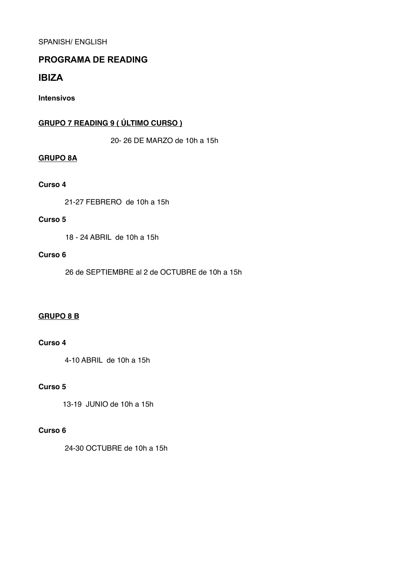SPANISH/ ENGLISH

# **PROGRAMA DE READING**

# **IBIZA**

**Intensivos** 

# **GRUPO 7 READING 9 ( ÚLTIMO CURSO )**

20- 26 DE MARZO de 10h a 15h

#### **GRUPO 8A**

#### **Curso 4**

21-27 FEBRERO de 10h a 15h

#### **Curso 5**

18 - 24 ABRIL de 10h a 15h

#### **Curso 6**

26 de SEPTIEMBRE al 2 de OCTUBRE de 10h a 15h

#### **GRUPO 8 B**

### **Curso 4**

4-10 ABRIL de 10h a 15h

## **Curso 5**

13-19 JUNIO de 10h a 15h

#### **Curso 6**

24-30 OCTUBRE de 10h a 15h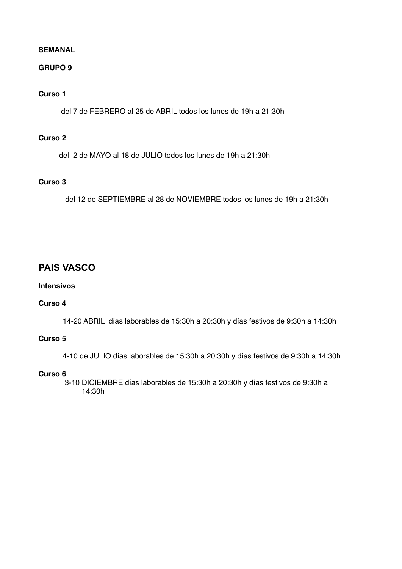#### **SEMANAL**

## **GRUPO 9**

# **Curso 1**

del 7 de FEBRERO al 25 de ABRIL todos los lunes de 19h a 21:30h

# **Curso 2**

del 2 de MAYO al 18 de JULIO todos los lunes de 19h a 21:30h

# **Curso 3**

del 12 de SEPTIEMBRE al 28 de NOVIEMBRE todos los lunes de 19h a 21:30h

# **PAIS VASCO**

### **Intensivos**

#### **Curso 4**

14-20 ABRIL días laborables de 15:30h a 20:30h y días festivos de 9:30h a 14:30h

## **Curso 5**

4-10 de JULIO días laborables de 15:30h a 20:30h y días festivos de 9:30h a 14:30h

#### **Curso 6**

 3-10 DICIEMBRE días laborables de 15:30h a 20:30h y días festivos de 9:30h a 14:30h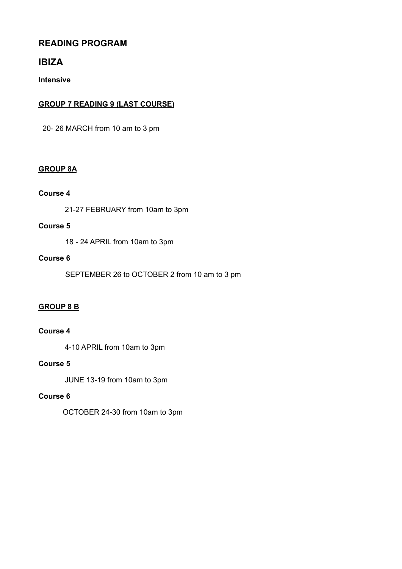# **READING PROGRAM**

# **IBIZA**

**Intensive** 

# **GROUP 7 READING 9 (LAST COURSE)**

20- 26 MARCH from 10 am to 3 pm

# **GROUP 8A**

## **Course 4**

21-27 FEBRUARY from 10am to 3pm

## **Course 5**

18 - 24 APRIL from 10am to 3pm

## **Course 6**

SEPTEMBER 26 to OCTOBER 2 from 10 am to 3 pm

# **GROUP 8 B**

# **Course 4**

4-10 APRIL from 10am to 3pm

# **Course 5**

JUNE 13-19 from 10am to 3pm

# **Course 6**

OCTOBER 24-30 from 10am to 3pm